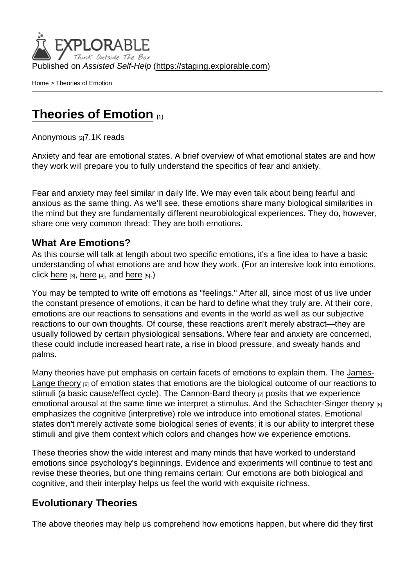Published on Assisted Self-Help [\(https://staging.explorable.com](https://staging.explorable.com))

[Home](https://staging.explorable.com/en) > Theories of Emotion

## [Theories of Emotion](https://staging.explorable.com/en/e/theories-of-emotion) [1]

[Anonymous](https://staging.explorable.com/en/users/grharriman) [2] 7.1K reads

Anxiety and fear are emotional states. A brief overview of what emotional states are and how they work will prepare you to fully understand the specifics of fear and anxiety.

Fear and anxiety may feel similar in daily life. We may even talk about being fearful and anxious as the same thing. As we'll see, these emotions share many biological similarities in the mind but they are fundamentally different neurobiological experiences. They do, however, share one very common thread: They are both emotions.

## What Are Emotions?

As this course will talk at length about two specific emotions, it's a fine idea to have a basic understanding of what emotions are and how they work. (For an intensive look into emotions, click [here](https://explorable.com/biology-of-emotion?gid=1604)  $[3]$ , [here](https://explorable.com/nature-of-emotions)  $[4]$ , and here  $[5]$ .)

You may be tempted to write off emotions as "feelings." After all, since most of us live under the constant presence of emotions, it can be hard to define what they truly are. At their core, emotions are our reactions to sensations and events in the world as well as our subjective reactions to our own thoughts. Of course, these reactions aren't merely abstract—they are usually followed by certain physiological sensations. Where fear and anxiety are concerned, these could include increased heart rate, a rise in blood pressure, and sweaty hands and palms.

Many theories have put emphasis on certain facets of emotions to explain them. The [James-](https://explorable.com/james-lange-theory-of-emotion)[Lange theory](https://explorable.com/james-lange-theory-of-emotion) [6] of emotion states that emotions are the biological outcome of our reactions to stimuli (a basic cause/effect cycle). The [Cannon-Bard theory](https://explorable.com/cannon-bard-theory-of-emotion) [7] posits that we experience emotional arousal at the same time we interpret a stimulus. And the [Schachter-Singer theory](https://explorable.com/schachter-singer-theory-of-emotion) [8] emphasizes the cognitive (interpretive) role we introduce into emotional states. Emotional states don't merely activate some biological series of events; it is our ability to interpret these stimuli and give them context which colors and changes how we experience emotions.

These theories show the wide interest and many minds that have worked to understand emotions since psychology's beginnings. Evidence and experiments will continue to test and revise these theories, but one thing remains certain: Our emotions are both biological and cognitive, and their interplay helps us feel the world with exquisite richness.

## Evolutionary Theories

The above theories may help us comprehend how emotions happen, but where did they first